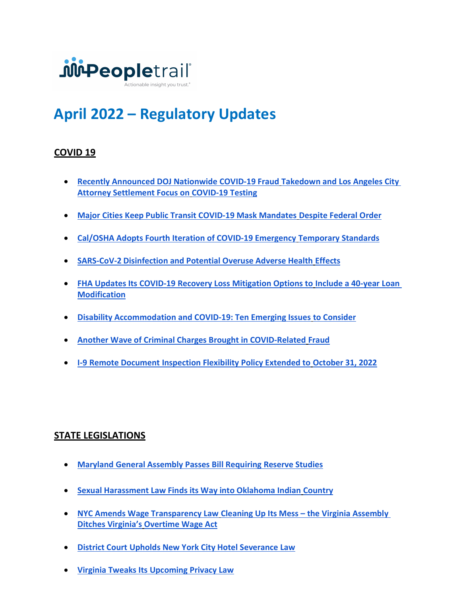

# April 2022 – Regulatory Updates

# COVID 19

- Recently Announced DOJ Nationwide COVID-19 Fraud Takedown and Los Angeles City Attorney Settlement Focus on COVID-19 Testing
- Major Cities Keep Public Transit COVID-19 Mask Mandates Despite Federal Order
- Cal/OSHA Adopts Fourth Iteration of COVID-19 Emergency Temporary Standards
- SARS-CoV-2 Disinfection and Potential Overuse Adverse Health Effects
- FHA Updates Its COVID-19 Recovery Loss Mitigation Options to Include a 40-year Loan Modification
- Disability Accommodation and COVID-19: Ten Emerging Issues to Consider
- Another Wave of Criminal Charges Brought in COVID-Related Fraud
- I-9 Remote Document Inspection Flexibility Policy Extended to October 31, 2022

## STATE LEGISLATIONS

- Maryland General Assembly Passes Bill Requiring Reserve Studies
- Sexual Harassment Law Finds its Way into Oklahoma Indian Country
- NYC Amends Wage Transparency Law Cleaning Up Its Mess the Virginia Assembly Ditches Virginia's Overtime Wage Act
- District Court Upholds New York City Hotel Severance Law
- Virginia Tweaks Its Upcoming Privacy Law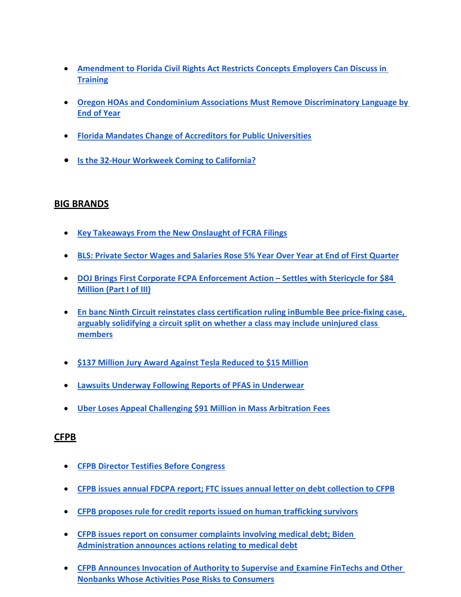- Amendment to Florida Civil Rights Act Restricts Concepts Employers Can Discuss in **Training**
- Oregon HOAs and Condominium Associations Must Remove Discriminatory Language by End of Year
- Florida Mandates Change of Accreditors for Public Universities
- Is the 32-Hour Workweek Coming to California?

## BIG BRANDS

- Key Takeaways From the New Onslaught of FCRA Filings
- BLS: Private Sector Wages and Salaries Rose 5% Year Over Year at End of First Quarter
- DOJ Brings First Corporate FCPA Enforcement Action Settles with Stericycle for \$84 Million (Part I of III)
- En banc Ninth Circuit reinstates class certification ruling inBumble Bee price-fixing case, arguably solidifying a circuit split on whether a class may include uninjured class members
- **\$137 Million Jury Award Against Tesla Reduced to \$15 Million**
- Lawsuits Underway Following Reports of PFAS in Underwear
- Uber Loses Appeal Challenging \$91 Million in Mass Arbitration Fees

#### CFPB

- CFPB Director Testifies Before Congress
- CFPB issues annual FDCPA report; FTC issues annual letter on debt collection to CFPB
- CFPB proposes rule for credit reports issued on human trafficking survivors
- CFPB issues report on consumer complaints involving medical debt; Biden Administration announces actions relating to medical debt
- CFPB Announces Invocation of Authority to Supervise and Examine FinTechs and Other Nonbanks Whose Activities Pose Risks to Consumers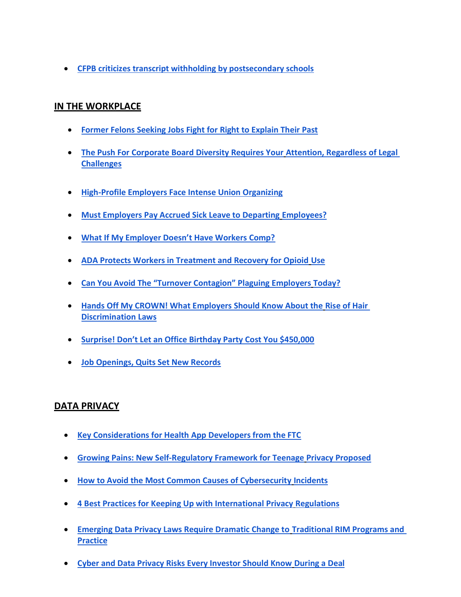CFPB criticizes transcript withholding by postsecondary schools

## IN THE WORKPLACE

- Former Felons Seeking Jobs Fight for Right to Explain Their Past
- The Push For Corporate Board Diversity Requires Your Attention, Regardless of Legal **Challenges**
- **High-Profile Employers Face Intense Union Organizing**
- Must Employers Pay Accrued Sick Leave to Departing Employees?
- What If My Employer Doesn't Have Workers Comp?
- ADA Protects Workers in Treatment and Recovery for Opioid Use
- Can You Avoid The "Turnover Contagion" Plaguing Employers Today?
- Hands Off My CROWN! What Employers Should Know About the Rise of Hair Discrimination Laws
- Surprise! Don't Let an Office Birthday Party Cost You \$450,000
- Job Openings, Quits Set New Records

## DATA PRIVACY

- Key Considerations for Health App Developers from the FTC
- Growing Pains: New Self-Regulatory Framework for Teenage Privacy Proposed
- How to Avoid the Most Common Causes of Cybersecurity Incidents
- 4 Best Practices for Keeping Up with International Privacy Regulations
- Emerging Data Privacy Laws Require Dramatic Change to Traditional RIM Programs and **Practice**
- Cyber and Data Privacy Risks Every Investor Should Know During a Deal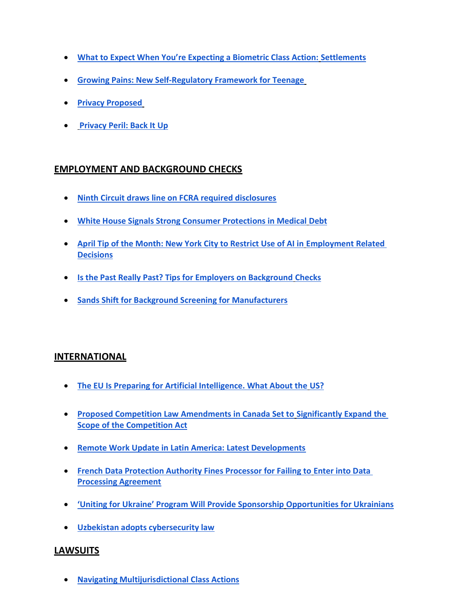- What to Expect When You're Expecting a Biometric Class Action: Settlements
- Growing Pains: New Self-Regulatory Framework for Teenage
- **Privacy Proposed**
- **Privacy Peril: Back It Up**

## EMPLOYMENT AND BACKGROUND CHECKS

- Ninth Circuit draws line on FCRA required disclosures
- White House Signals Strong Consumer Protections in Medical Debt
- April Tip of the Month: New York City to Restrict Use of AI in Employment Related **Decisions**
- **. Is the Past Really Past? Tips for Employers on Background Checks**
- Sands Shift for Background Screening for Manufacturers

#### **INTERNATIONAL**

- The EU Is Preparing for Artificial Intelligence. What About the US?
- **Proposed Competition Law Amendments in Canada Set to Significantly Expand the** Scope of the Competition Act
- Remote Work Update in Latin America: Latest Developments
- **French Data Protection Authority Fines Processor for Failing to Enter into Data** Processing Agreement
- 'Uniting for Ukraine' Program Will Provide Sponsorship Opportunities for Ukrainians
- Uzbekistan adopts cybersecurity law

## LAWSUITS

Navigating Multijurisdictional Class Actions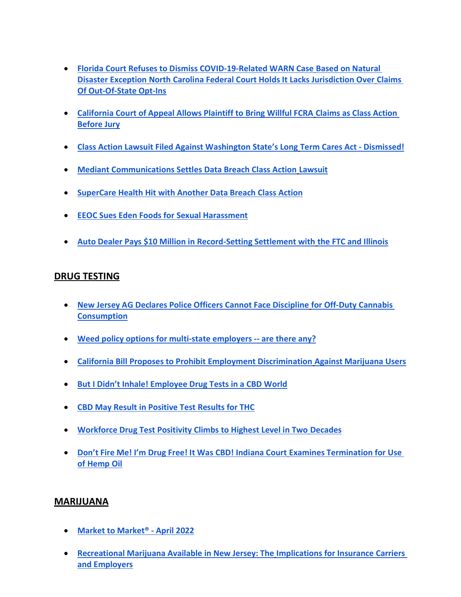- Florida Court Refuses to Dismiss COVID-19-Related WARN Case Based on Natural Disaster Exception North Carolina Federal Court Holds It Lacks Jurisdiction Over Claims Of Out-Of-State Opt-Ins
- California Court of Appeal Allows Plaintiff to Bring Willful FCRA Claims as Class Action Before Jury
- Class Action Lawsuit Filed Against Washington State's Long Term Cares Act Dismissed!
- Mediant Communications Settles Data Breach Class Action Lawsuit
- SuperCare Health Hit with Another Data Breach Class Action
- EEOC Sues Eden Foods for Sexual Harassment
- Auto Dealer Pays \$10 Million in Record-Setting Settlement with the FTC and Illinois

## DRUG TESTING

- New Jersey AG Declares Police Officers Cannot Face Discipline for Off-Duty Cannabis **Consumption**
- Weed policy options for multi-state employers -- are there any?
- California Bill Proposes to Prohibit Employment Discrimination Against Marijuana Users
- But I Didn't Inhale! Employee Drug Tests in a CBD World
- CBD May Result in Positive Test Results for THC
- Workforce Drug Test Positivity Climbs to Highest Level in Two Decades
- Don't Fire Me! I'm Drug Free! It Was CBD! Indiana Court Examines Termination for Use of Hemp Oil

#### MARIJUANA

- Market to Market<sup>®</sup> April 2022
- Recreational Marijuana Available in New Jersey: The Implications for Insurance Carriers and Employers